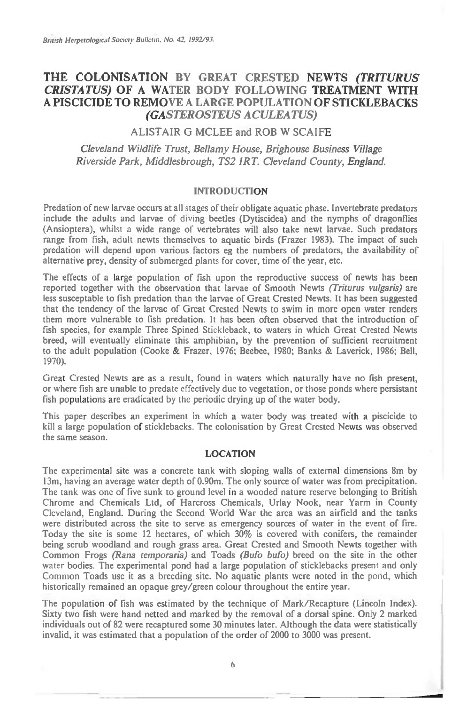# **THE COLONISATION BY GREAT CRESTED NEWTS** *(TRITURUS CRISTATUS)* **OF A WATER BODY FOLLOWING TREATMENT WITH A PISCICIDE TO REMOVE A LARGE POPULATION OF STICKLEBACKS**  *(GASTEROSTEUS ACULEATUS)*

## ALISTAIR G MCLEE and ROB W SCAIFE

*Cleveland Wildlife Trust, Bellamy House, Brighouse Business Village Riverside Park, Middlesbrough, TS2 1RT. Cleveland County, England.* 

#### INTRODUCTION

Predation of new larvae occurs at all stages of their obligate aquatic phase. Invertebrate predators include the adults and larvae of diving beetles (Dytiscidea) and the nymphs of dragonflies (Ansioptera), whilst a wide range of vertebrates will also take newt larvae. Such predators range from fish, adult newts themselves to aquatic birds (Frazer 1983). The impact of such predation will depend upon various factors eg the numbers of predators, the availability of alternative prey, density of submerged plants for cover, time of the year, etc.

The effects of a large population of fish upon the reproductive success of newts has been reported together with the observation that larvae of Smooth Newts *(Triturus vulgaris)* are less susceptable to fish predation than the larvae of Great Crested Newts. It has been suggested that the tendency of the larvae of Great Crested Newts to swim in more open water renders them more vulnerable to fish predation. It has been often observed that the introduction of fish species, for example Three Spined Stickleback, to waters in which Great Crested Newts breed, will eventually eliminate this amphibian, by the prevention of sufficient recruitment to the adult population (Cooke & Frazer, 1976; Beebee, 1980; Banks & Laverick, 1986; Bell, 1970).

Great Crested Newts are as a result, found in waters which naturally have no fish present, or where fish are unable to predate effectively due to vegetation, or those ponds where persistant fish populations are eradicated by *the* periodic drying up of the water body.

This paper describes an experiment in which a water body was treated with a piscicide to kill a large population of sticklebacks. The colonisation by Great Crested Newts was observed the same season.

### LOCATION

The experimental site was a concrete tank with sloping walls of external dimensions 8m by 13m, having an average water depth of 0.90m. The only source of water was from precipitation. The tank was one of five sunk to ground level in a wooded nature reserve belonging to British Chrome and Chemicals Ltd, of Harcross Chemicals, Urlay Nook, near Yarm in County Cleveland, England. During the Second World War the area was an airfield and the tanks were distributed across the site to serve as emergency sources of water in the event of fire. Today the site is some 12 hectares, of which 30% is covered with conifers, the remainder being scrub woodland and rough grass area. Great Crested and Smooth Newts together with Common Frogs *(Rana temporaria)* and Toads *(Bufo bufo)* breed on the site in the other *water* bodies. The experimental pond had a large population of sticklebacks present and only Common Toads use it as a breeding site. No aquatic plants were noted in the pond, which historically remained an opaque grey/green colour throughout the entire year.

The population of fish was estimated by the technique of Mark/Recapture (Lincoln Index). Sixty two fish were hand netted and marked by the removal of a dorsal spine. Only 2 marked individuals out of 82 were recaptured some 30 minutes later. Although the data were statistically invalid, it was estimated that a population of the order of 2000 to 3000 was present.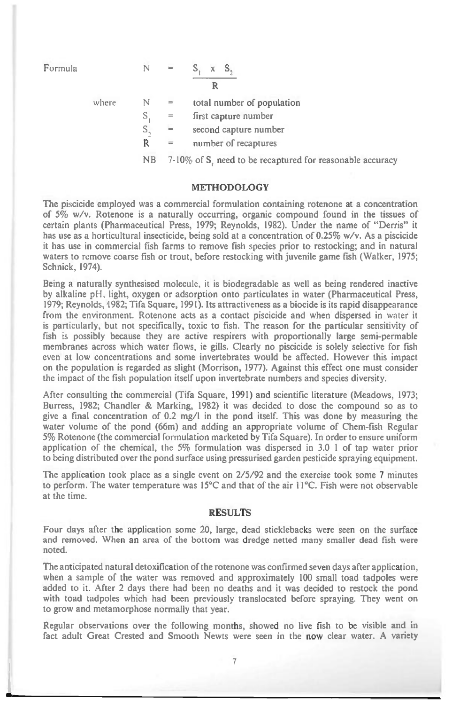Formula 
$$
N = S_1 \times S_2
$$
  
R

where  $N =$  total number of population

 $S_1$  = first capture number

 $S_n =$  second capture number

 $R =$  number of recaptures

NB 7-10% of S, need to be recaptured for reasonable accuracy

#### METHODOLOGY

The piscicide employed was a commercial formulation containing rotenone at a concentration of 5% w/v. Rotenone is a naturally occurring, organic compound found in the tissues of certain plants (Pharmaceutical Press, 1979; Reynolds, 1982). Under the name of "Derris" it has use as a horticultural insecticide, being sold at a concentration of 0.25% w/v. As a piscicide it has use in commercial fish farms to remove fish species prior to restocking; and in natural waters to remove coarse fish or trout, before restocking with juvenile game fish (Walker, 1975; Schnick, 1974).

Being a naturally synthesised molecule, it is biodegradable as well as being rendered inactive by alkaline pH, light, oxygen or adsorption onto particulates in water (Pharmaceutical Press, 1979; Reynolds, 1982; Tifa Square, 1991). Its attractiveness as a biocide is its rapid disappearance from the environment. Rotenone acts as a contact piscicide and when dispersed in water it is particularly, but not specifically, toxic to fish. The reason for the particular sensitivity of fish is possibly because they are active respirers with proportionally large semi-permable membranes across which water flows, ie gills. Clearly no piscicide is solely selective for fish even at low concentrations and some invertebrates would be affected. However this impact on the population is regarded as slight (Morrison, 1977). Against this effect one must consider the impact of the fish population itself upon invertebrate numbers and species diversity.

After consulting the commercial (Tifa Square, 1991) and scientific literature (Meadows, 1973; Burress, 1982; Chandler & Marking, 1982) it was decided to dose the compound so as to give a final concentration of 0.2 mg/1 in the pond itself. This was done by measuring the water volume of the pond (66m) and adding an appropriate volume of Chem-fish Regular 5% Rotenone (the commercial formulation marketed by Tifa Square). In order to ensure uniform application of the chemical, the 5% formulation was dispersed in 3.0 1 of tap water prior to being distributed over the pond surface using pressurised garden pesticide spraying equipment.

The application took place as a single event on 2/5/92 and the exercise took some 7 minutes to perform. The water temperature was 15°C and that of the air 11°C. Fish were not observable at the time.

#### RESULTS

Four days after the application some 20, large, dead sticklebacks were seen on the surface and removed. When an area of the bottom was dredge netted many smaller dead fish were noted.

The anticipated natural detoxification of the rotenone was confirmed seven days after application, when a sample of the water was removed and approximately 100 small toad tadpoles were added to it. After 2 days there had been no deaths and it was decided to restock the pond with toad tadpoles which had been previously translocated before spraying. They went on to grow and metamorphose normally that year.

Regular observations over the following months, showed no live fish to be visible and in fact adult Great Crested and Smooth Newts were seen in the now clear water. A variety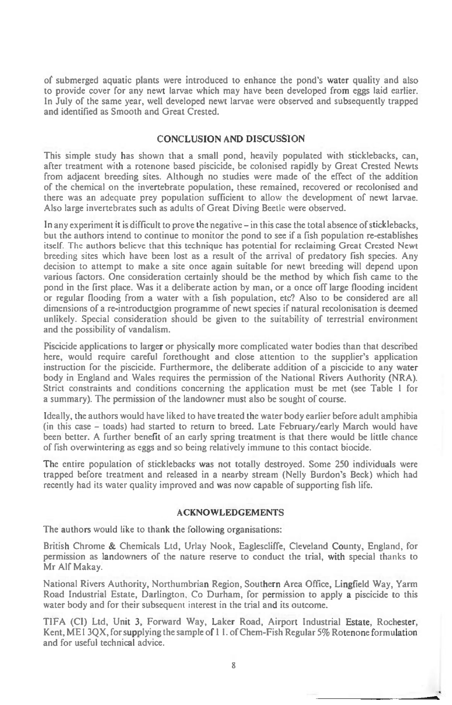of submerged aquatic plants were introduced to enhance the pond's water quality and also to provide cover for any newt larvae which may have been developed from eggs laid earlier. In July of the same year, well developed newt larvae were observed and subsequently trapped and identified as Smooth and Great Crested.

## CONCLUSION AND DISCUSSION

This simple study has shown that a small pond, heavily populated with sticklebacks, can, after treatment with a rotenone based piscicide, be colonised rapidly by Great Crested Newts from adjacent breeding sites. Although no studies were made of the effect of the addition of the chemical on the invertebrate population, these remained, recovered or recolonised and there was an adequate prey population sufficient to allow the development of newt larvae. Also large invertebrates such as adults of Great Diving Beetle were observed.

In any experiment it is difficult to prove the negative — in this case the total absence of sticklebacks, but the authors intend to continue to monitor the pond to see if a fish population re-establishes itself. The authors believe that this technique has potential for reclaiming Great Crested Newt breeding sites which have been lost as a result of the arrival of predatory fish species. Any decision to attempt to make a site once again suitable for newt breeding will depend upon various factors. One consideration certainly should be the method by which fish came to the pond in the first place. Was it a deliberate action by man, or a once off large flooding incident or regular flooding from a water with a fish population, etc? Also to be considered are all dimensions of a re-introductgion programme of newt species if natural recolonisation is deemed unlikely. Special consideration should be given to the suitability of terrestrial environment and the possibility of vandalism.

Piscicide applications to larger or physically more complicated water bodies than that described here, would require careful forethought and close attention to the supplier's application instruction for the piscicide. Furthermore, the deliberate addition of a piscicide to any water body in England and Wales requires the permission of the National Rivers Authority (NRA). Strict constraints and conditions concerning the application must be met (see Table I for a summary). The permission of the landowner must also be sought of course.

Ideally, the authors would have liked to have treated the water body earlier before adult amphibia (in this case — toads) had started to return to breed. Late February/early March would have been better. A further benefit of an early spring treatment is that there would be little chance of fish overwintering as eggs and so being relatively immune to this contact biocide.

The entire population of sticklebacks' was not totally destroyed. Some 250 individuals were trapped before treatment and released in a nearby stream (Nelly Burdon's Beck) which had recently had its water quality improved and was now capable of supporting fish life.

### ACKNOWLEDGEMENTS

The authors would like to thank the following organisations:

British Chrome & Chemicals Ltd, Urlay Nook, Eaglescliffe, Cleveland County, England, for permission as landowners of the nature reserve to conduct the trial, with special thanks to Mr Alf Makay.

National Rivers Authority, Northumbrian Region, Southern Area Office, Lingfield Way, Yarm Road Industrial Estate, Darlington. Co Durham, for permission to apply a piscicide to this water body and for their subsequent interest in the trial and its outcome.

TIFA (CI) Ltd, Unit 3, Forward Way, Laker Road, Airport Industrial Estate, Rochester, Kent, ME I 3QX, for supplying the sample of I 1. of Chem-Fish Regular 5% Rotenone formulation and for useful technical advice.

?.